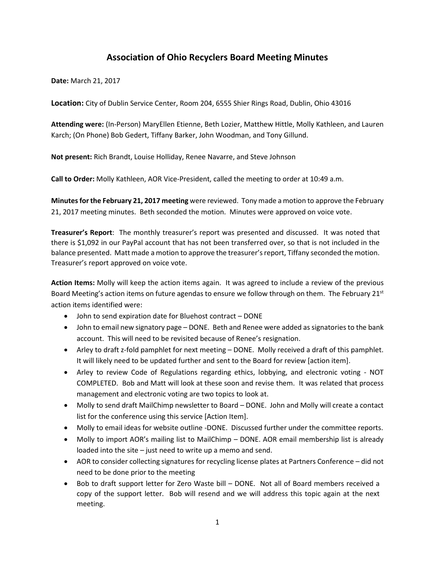# **Association of Ohio Recyclers Board Meeting Minutes**

**Date:** March 21, 2017

**Location:** City of Dublin Service Center, Room 204, 6555 Shier Rings Road, Dublin, Ohio 43016

**Attending were:** (In-Person) MaryEllen Etienne, Beth Lozier, Matthew Hittle, Molly Kathleen, and Lauren Karch; (On Phone) Bob Gedert, Tiffany Barker, John Woodman, and Tony Gillund.

**Not present:** Rich Brandt, Louise Holliday, Renee Navarre, and Steve Johnson

**Call to Order:** Molly Kathleen, AOR Vice-President, called the meeting to order at 10:49 a.m.

**Minutes for the February 21, 2017 meeting** were reviewed. Tony made a motion to approve the February 21, 2017 meeting minutes. Beth seconded the motion. Minutes were approved on voice vote.

**Treasurer's Report**: The monthly treasurer's report was presented and discussed. It was noted that there is \$1,092 in our PayPal account that has not been transferred over, so that is not included in the balance presented. Matt made a motion to approve the treasurer's report, Tiffany seconded the motion. Treasurer's report approved on voice vote.

**Action Items:** Molly will keep the action items again. It was agreed to include a review of the previous Board Meeting's action items on future agendas to ensure we follow through on them. The February  $21^{st}$ action items identified were:

- John to send expiration date for Bluehost contract DONE
- John to email new signatory page DONE. Beth and Renee were added as signatories to the bank account. This will need to be revisited because of Renee's resignation.
- Arley to draft z-fold pamphlet for next meeting DONE. Molly received a draft of this pamphlet. It will likely need to be updated further and sent to the Board for review [action item].
- Arley to review Code of Regulations regarding ethics, lobbying, and electronic voting NOT COMPLETED. Bob and Matt will look at these soon and revise them. It was related that process management and electronic voting are two topics to look at.
- Molly to send draft MailChimp newsletter to Board DONE. John and Molly will create a contact list for the conference using this service [Action Item].
- Molly to email ideas for website outline -DONE. Discussed further under the committee reports.
- Molly to import AOR's mailing list to MailChimp DONE. AOR email membership list is already loaded into the site – just need to write up a memo and send.
- AOR to consider collecting signatures for recycling license plates at Partners Conference did not need to be done prior to the meeting
- Bob to draft support letter for Zero Waste bill DONE. Not all of Board members received a copy of the support letter. Bob will resend and we will address this topic again at the next meeting.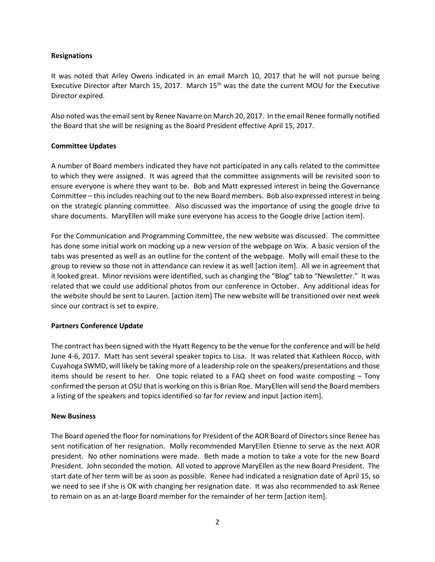### **Resignations**

It was noted that Arley Owens indicated in an email March 10, 2017 that he will not pursue being Executive Director after March 15, 2017. March 15<sup>th</sup> was the date the current MOU for the Executive Director expired.

Also noted was the email sent by Renee Navarre on March 20, 2017. In the email Renee formally notified the Board that she will be resigning as the Board President effective April 15, 2017.

### **Committee Updates**

A number of Board members indicated they have not participated in any calls related to the committee to which they were assigned. It was agreed that the committee assignments will be revisited soon to ensure everyone is where they want to be. Bob and Matt expressed interest in being the Governance Committee – this includes reaching out to the new Board members. Bob also expressed interest in being on the strategic planning committee. Also discussed was the importance of using the google drive to share documents. MaryEllen will make sure everyone has access to the Google drive [action item].

For the Communication and Programming Committee, the new website was discussed. The committee has done some initial work on mocking up a new version of the webpage on Wix. A basic version of the tabs was presented as well as an outline for the content of the webpage. Molly will email these to the group to review so those not in attendance can review it as well [action item]. All we in agreement that it looked great. Minor revisions were identified, such as changing the "Blog" tab to "Newsletter." It was related that we could use additional photos from our conference in October. Any additional ideas for the website should be sent to Lauren. [action item] The new website will be transitioned over next week since our contract is set to expire.

## **Partners Conference Update**

The contract has been signed with the Hyatt Regency to be the venue for the conference and will be held June 4-6, 2017. Matt has sent several speaker topics to Lisa. It was related that Kathleen Rocco, with Cuyahoga SWMD, will likely be taking more of a leadership role on the speakers/presentations and those items should be resent to her. One topic related to a FAQ sheet on food waste composting – Tony confirmed the person at OSU that is working on this is Brian Roe. MaryEllen will send the Board members a listing of the speakers and topics identified so far for review and input [action item].

#### **New Business**

The Board opened the floor for nominations for President of the AOR Board of Directors since Renee has sent notification of her resignation. Molly recommended MaryEllen Etienne to serve as the next AOR president. No other nominations were made. Beth made a motion to take a vote for the new Board President. John seconded the motion. All voted to approve MaryEllen as the new Board President. The start date of her term will be as soon as possible. Renee had indicated a resignation date of April 15, so we need to see if she is OK with changing her resignation date. It was also recommended to ask Renee to remain on as an at-large Board member for the remainder of her term [action item].